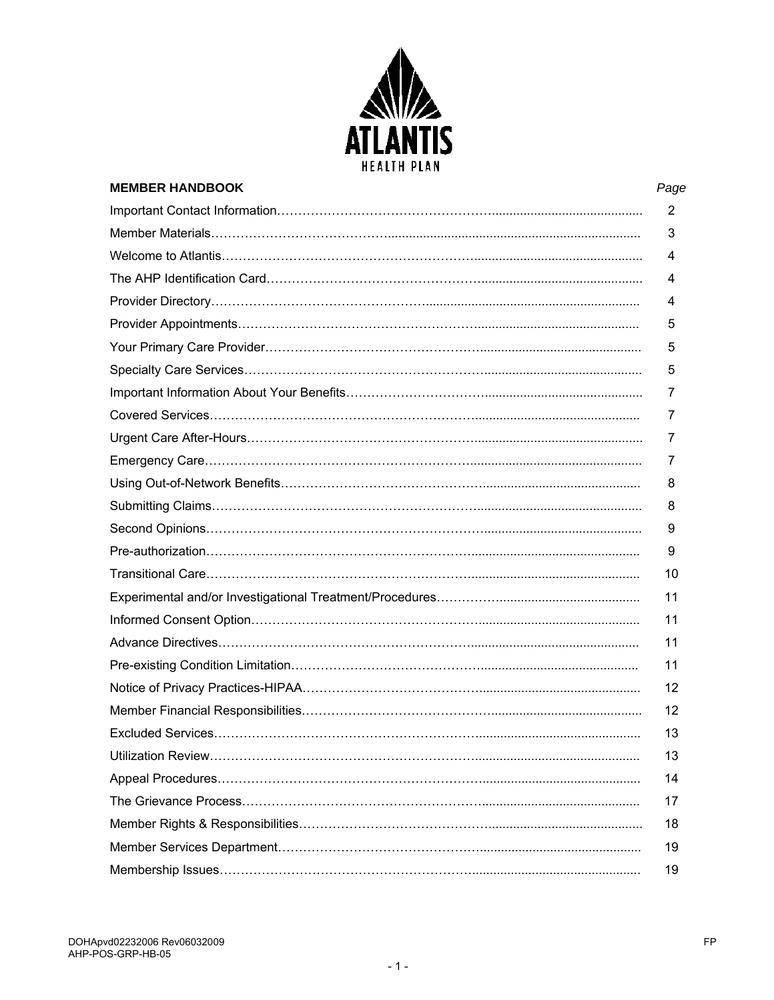

| <b>MEMBER HANDBOOK</b> | Page           |
|------------------------|----------------|
|                        | $\overline{2}$ |
|                        | 3              |
|                        | 4              |
|                        | 4              |
|                        | 4              |
|                        | 5              |
|                        | 5              |
|                        | 5              |
|                        | 7              |
|                        | 7              |
|                        | 7              |
|                        | 7              |
|                        | 8              |
|                        | 8              |
|                        | 9              |
|                        | 9              |
|                        | 10             |
|                        | 11             |
|                        | 11             |
|                        | 11             |
|                        | 11             |
|                        | 12             |
|                        | 12             |
|                        | 13             |
|                        | 13             |
|                        | 14             |
|                        | 17             |
|                        | 18             |
|                        | 19             |
|                        | 19             |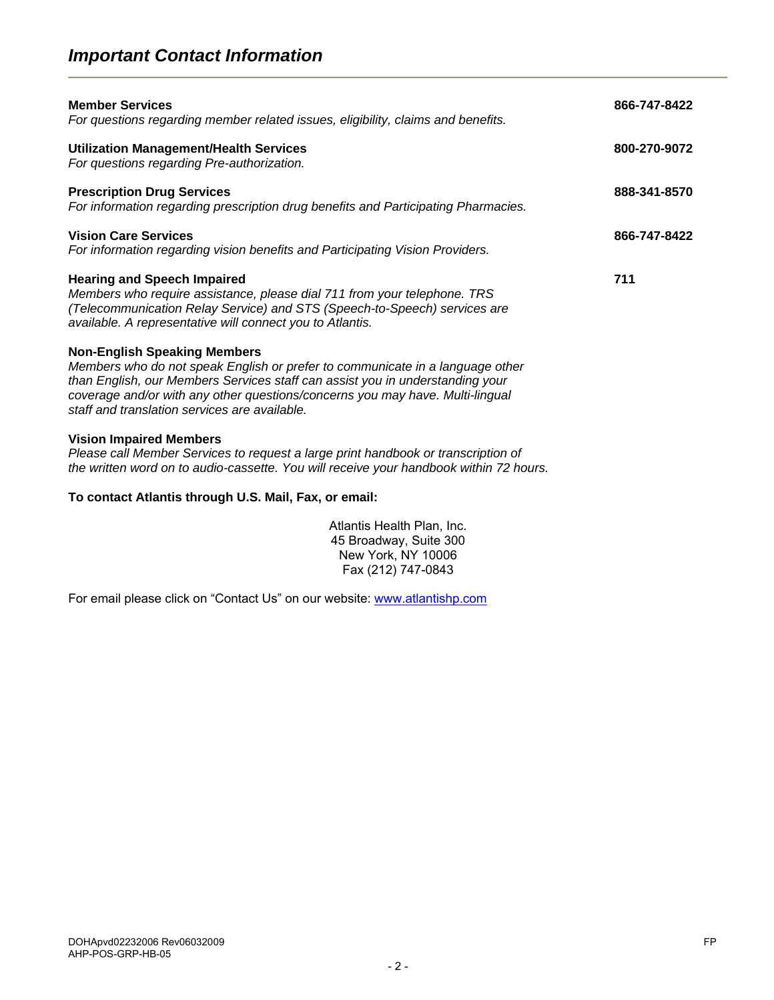# *Important Contact Information*

| <b>Member Services</b><br>For questions regarding member related issues, eligibility, claims and benefits.                                                                                                                                                                                                                              | 866-747-8422 |
|-----------------------------------------------------------------------------------------------------------------------------------------------------------------------------------------------------------------------------------------------------------------------------------------------------------------------------------------|--------------|
| <b>Utilization Management/Health Services</b><br>For questions regarding Pre-authorization.                                                                                                                                                                                                                                             | 800-270-9072 |
| <b>Prescription Drug Services</b><br>For information regarding prescription drug benefits and Participating Pharmacies.                                                                                                                                                                                                                 | 888-341-8570 |
| <b>Vision Care Services</b><br>For information regarding vision benefits and Participating Vision Providers.                                                                                                                                                                                                                            | 866-747-8422 |
| <b>Hearing and Speech Impaired</b><br>Members who require assistance, please dial 711 from your telephone. TRS<br>(Telecommunication Relay Service) and STS (Speech-to-Speech) services are<br>available. A representative will connect you to Atlantis.                                                                                | 711          |
| <b>Non-English Speaking Members</b><br>Members who do not speak English or prefer to communicate in a language other<br>than English, our Members Services staff can assist you in understanding your<br>coverage and/or with any other questions/concerns you may have. Multi-lingual<br>staff and translation services are available. |              |
| <b>Vision Impaired Members</b><br>Please call Member Services to request a large print handbook or transcription of                                                                                                                                                                                                                     |              |

*the written word on to audio-cassette. You will receive your handbook within 72 hours.* 

#### **To contact Atlantis through U.S. Mail, Fax, or email:**

Atlantis Health Plan, Inc. 45 Broadway, Suite 300 New York, NY 10006 Fax (212) 747-0843

For email please click on "Contact Us" on our website: www.atlantishp.com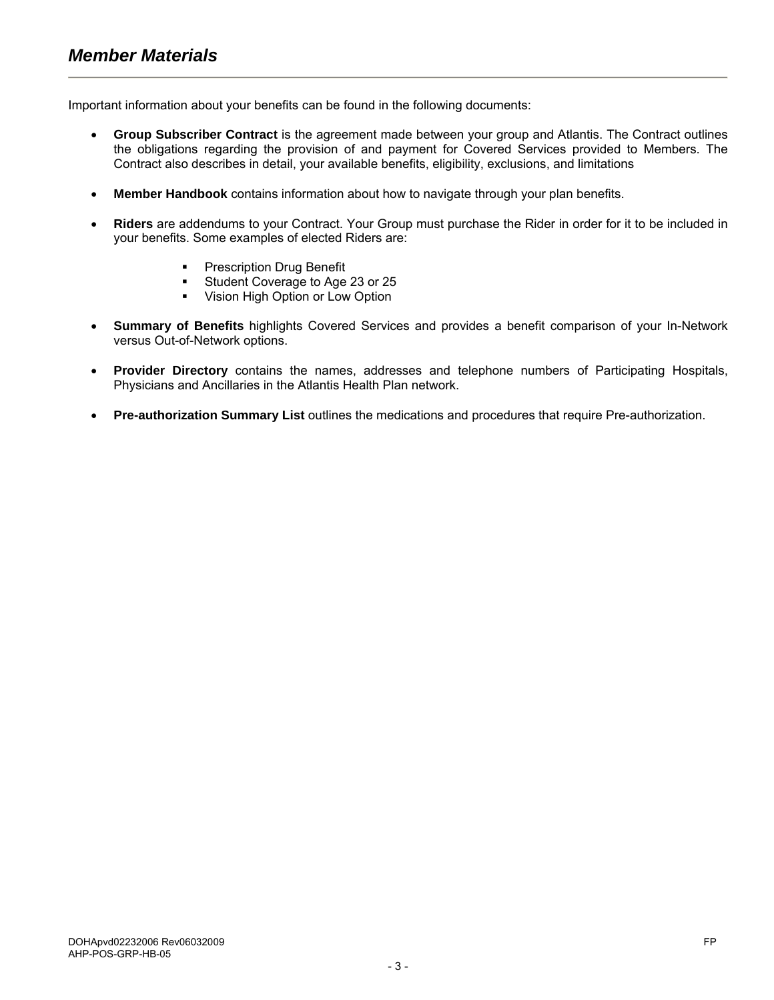Important information about your benefits can be found in the following documents:

- **Group Subscriber Contract** is the agreement made between your group and Atlantis. The Contract outlines the obligations regarding the provision of and payment for Covered Services provided to Members. The Contract also describes in detail, your available benefits, eligibility, exclusions, and limitations
- **Member Handbook** contains information about how to navigate through your plan benefits.
- **Riders** are addendums to your Contract. Your Group must purchase the Rider in order for it to be included in your benefits. Some examples of elected Riders are:
	- **•** Prescription Drug Benefit
	- **Student Coverage to Age 23 or 25**
	- **•** Vision High Option or Low Option
- **Summary of Benefits** highlights Covered Services and provides a benefit comparison of your In-Network versus Out-of-Network options.
- **Provider Directory** contains the names, addresses and telephone numbers of Participating Hospitals, Physicians and Ancillaries in the Atlantis Health Plan network.
- **Pre-authorization Summary List** outlines the medications and procedures that require Pre-authorization.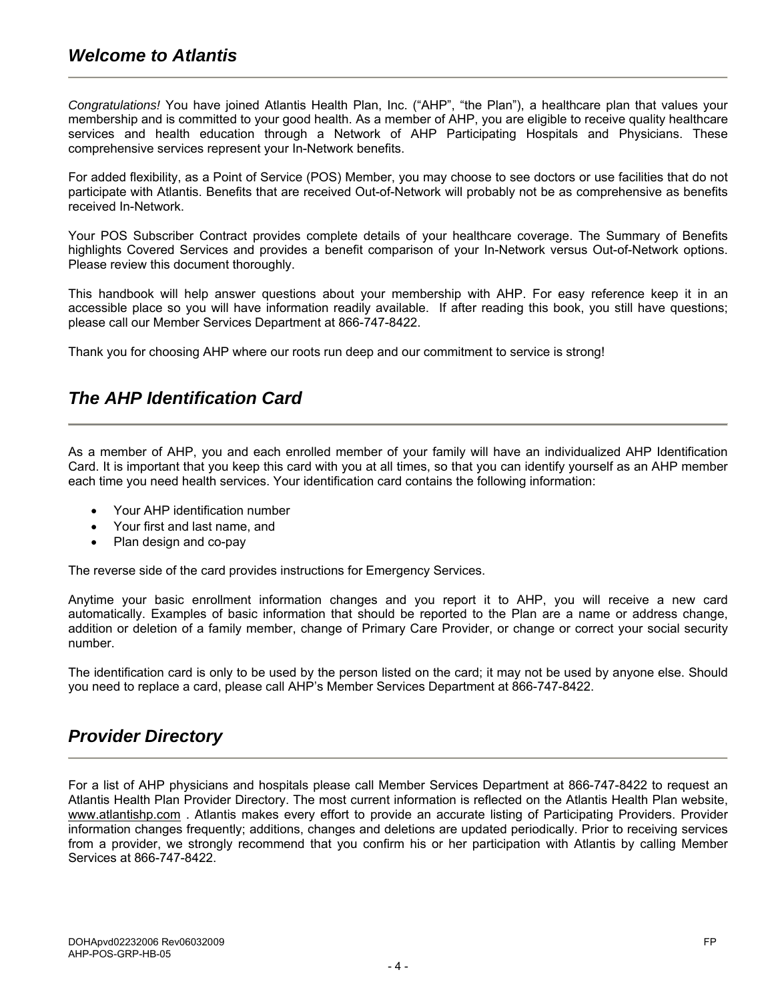# *Welcome to Atlantis*

*Congratulations!* You have joined Atlantis Health Plan, Inc. ("AHP", "the Plan"), a healthcare plan that values your membership and is committed to your good health. As a member of AHP, you are eligible to receive quality healthcare services and health education through a Network of AHP Participating Hospitals and Physicians. These comprehensive services represent your In-Network benefits.

For added flexibility, as a Point of Service (POS) Member, you may choose to see doctors or use facilities that do not participate with Atlantis. Benefits that are received Out-of-Network will probably not be as comprehensive as benefits received In-Network.

Your POS Subscriber Contract provides complete details of your healthcare coverage. The Summary of Benefits highlights Covered Services and provides a benefit comparison of your In-Network versus Out-of-Network options. Please review this document thoroughly.

This handbook will help answer questions about your membership with AHP. For easy reference keep it in an accessible place so you will have information readily available. If after reading this book, you still have questions; please call our Member Services Department at 866-747-8422.

Thank you for choosing AHP where our roots run deep and our commitment to service is strong!

# *The AHP Identification Card*

As a member of AHP, you and each enrolled member of your family will have an individualized AHP Identification Card. It is important that you keep this card with you at all times, so that you can identify yourself as an AHP member each time you need health services. Your identification card contains the following information:

- Your AHP identification number
- Your first and last name, and
- Plan design and co-pay

The reverse side of the card provides instructions for Emergency Services.

Anytime your basic enrollment information changes and you report it to AHP, you will receive a new card automatically. Examples of basic information that should be reported to the Plan are a name or address change, addition or deletion of a family member, change of Primary Care Provider, or change or correct your social security number.

The identification card is only to be used by the person listed on the card; it may not be used by anyone else. Should you need to replace a card, please call AHP's Member Services Department at 866-747-8422.

# *Provider Directory*

For a list of AHP physicians and hospitals please call Member Services Department at 866-747-8422 to request an Atlantis Health Plan Provider Directory. The most current information is reflected on the Atlantis Health Plan website, www.atlantishp.com . Atlantis makes every effort to provide an accurate listing of Participating Providers. Provider information changes frequently; additions, changes and deletions are updated periodically. Prior to receiving services from a provider, we strongly recommend that you confirm his or her participation with Atlantis by calling Member Services at 866-747-8422.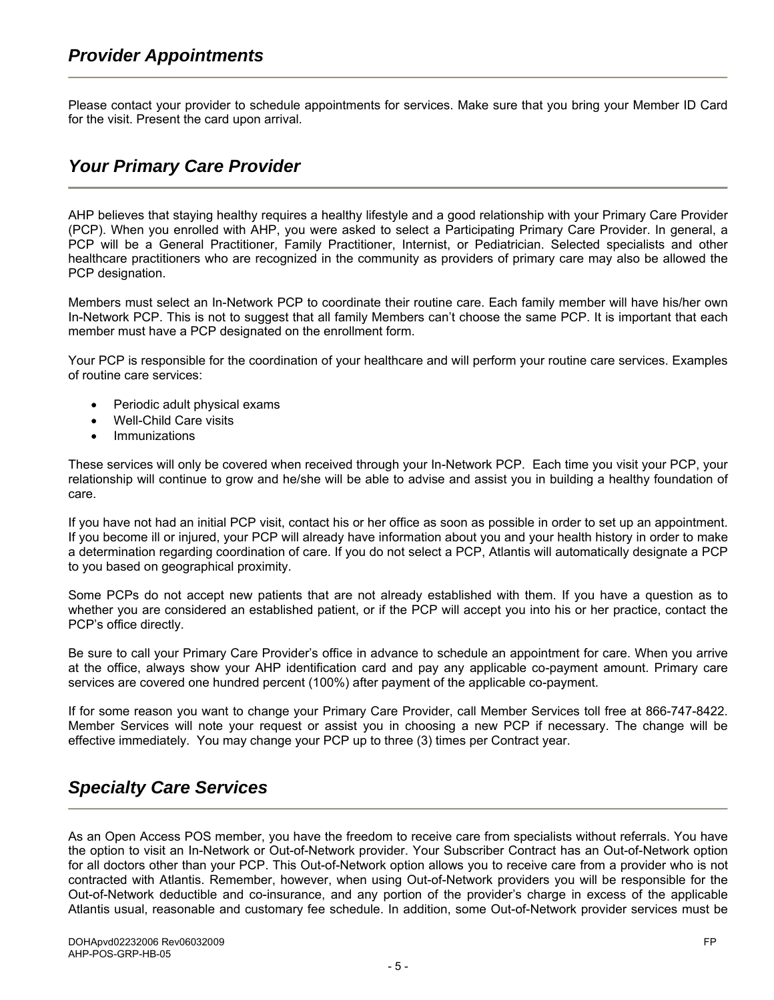Please contact your provider to schedule appointments for services. Make sure that you bring your Member ID Card for the visit. Present the card upon arrival.

# *Your Primary Care Provider*

AHP believes that staying healthy requires a healthy lifestyle and a good relationship with your Primary Care Provider (PCP). When you enrolled with AHP, you were asked to select a Participating Primary Care Provider. In general, a PCP will be a General Practitioner, Family Practitioner, Internist, or Pediatrician. Selected specialists and other healthcare practitioners who are recognized in the community as providers of primary care may also be allowed the PCP designation.

Members must select an In-Network PCP to coordinate their routine care. Each family member will have his/her own In-Network PCP. This is not to suggest that all family Members can't choose the same PCP. It is important that each member must have a PCP designated on the enrollment form.

Your PCP is responsible for the coordination of your healthcare and will perform your routine care services. Examples of routine care services:

- Periodic adult physical exams
- Well-Child Care visits
- **Immunizations**

These services will only be covered when received through your In-Network PCP. Each time you visit your PCP, your relationship will continue to grow and he/she will be able to advise and assist you in building a healthy foundation of care.

If you have not had an initial PCP visit, contact his or her office as soon as possible in order to set up an appointment. If you become ill or injured, your PCP will already have information about you and your health history in order to make a determination regarding coordination of care. If you do not select a PCP, Atlantis will automatically designate a PCP to you based on geographical proximity.

Some PCPs do not accept new patients that are not already established with them. If you have a question as to whether you are considered an established patient, or if the PCP will accept you into his or her practice, contact the PCP's office directly.

Be sure to call your Primary Care Provider's office in advance to schedule an appointment for care. When you arrive at the office, always show your AHP identification card and pay any applicable co-payment amount. Primary care services are covered one hundred percent (100%) after payment of the applicable co-payment.

If for some reason you want to change your Primary Care Provider, call Member Services toll free at 866-747-8422. Member Services will note your request or assist you in choosing a new PCP if necessary. The change will be effective immediately. You may change your PCP up to three (3) times per Contract year.

# *Specialty Care Services*

As an Open Access POS member, you have the freedom to receive care from specialists without referrals. You have the option to visit an In-Network or Out-of-Network provider. Your Subscriber Contract has an Out-of-Network option for all doctors other than your PCP. This Out-of-Network option allows you to receive care from a provider who is not contracted with Atlantis. Remember, however, when using Out-of-Network providers you will be responsible for the Out-of-Network deductible and co-insurance, and any portion of the provider's charge in excess of the applicable Atlantis usual, reasonable and customary fee schedule. In addition, some Out-of-Network provider services must be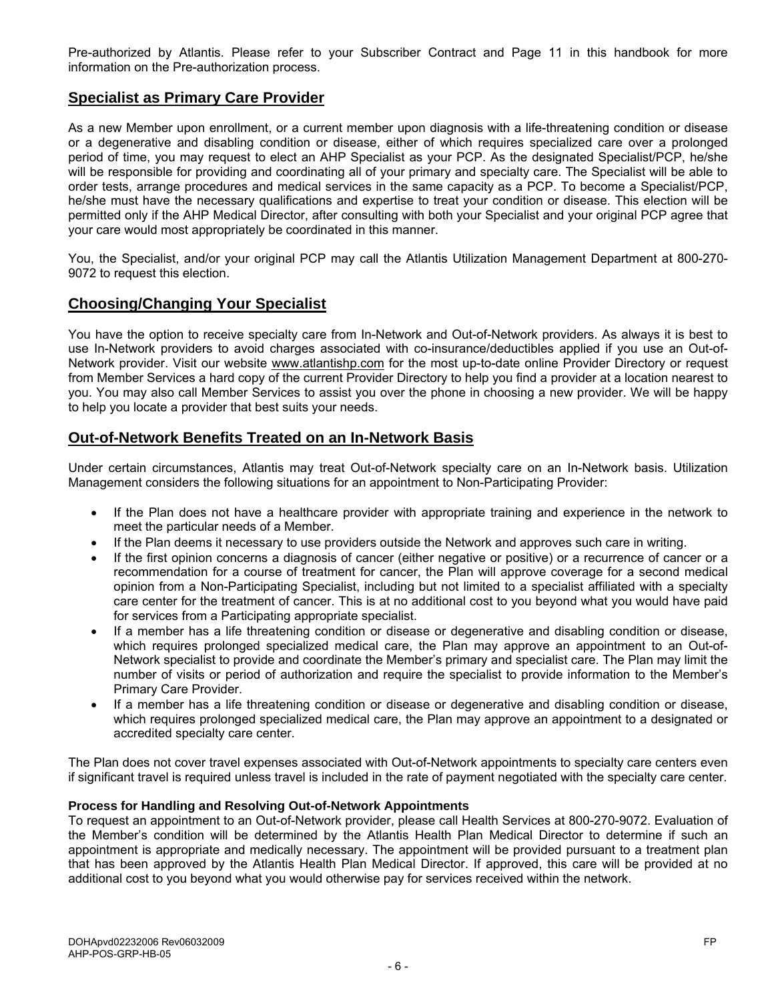Pre-authorized by Atlantis. Please refer to your Subscriber Contract and Page 11 in this handbook for more information on the Pre-authorization process.

# **Specialist as Primary Care Provider**

As a new Member upon enrollment, or a current member upon diagnosis with a life-threatening condition or disease or a degenerative and disabling condition or disease, either of which requires specialized care over a prolonged period of time, you may request to elect an AHP Specialist as your PCP. As the designated Specialist/PCP, he/she will be responsible for providing and coordinating all of your primary and specialty care. The Specialist will be able to order tests, arrange procedures and medical services in the same capacity as a PCP. To become a Specialist/PCP, he/she must have the necessary qualifications and expertise to treat your condition or disease. This election will be permitted only if the AHP Medical Director, after consulting with both your Specialist and your original PCP agree that your care would most appropriately be coordinated in this manner.

You, the Specialist, and/or your original PCP may call the Atlantis Utilization Management Department at 800-270- 9072 to request this election.

# **Choosing/Changing Your Specialist**

You have the option to receive specialty care from In-Network and Out-of-Network providers. As always it is best to use In-Network providers to avoid charges associated with co-insurance/deductibles applied if you use an Out-of-Network provider. Visit our website www.atlantishp.com for the most up-to-date online Provider Directory or request from Member Services a hard copy of the current Provider Directory to help you find a provider at a location nearest to you. You may also call Member Services to assist you over the phone in choosing a new provider. We will be happy to help you locate a provider that best suits your needs.

# **Out-of-Network Benefits Treated on an In-Network Basis**

Under certain circumstances, Atlantis may treat Out-of-Network specialty care on an In-Network basis. Utilization Management considers the following situations for an appointment to Non-Participating Provider:

- If the Plan does not have a healthcare provider with appropriate training and experience in the network to meet the particular needs of a Member.
- If the Plan deems it necessary to use providers outside the Network and approves such care in writing.
- If the first opinion concerns a diagnosis of cancer (either negative or positive) or a recurrence of cancer or a recommendation for a course of treatment for cancer, the Plan will approve coverage for a second medical opinion from a Non-Participating Specialist, including but not limited to a specialist affiliated with a specialty care center for the treatment of cancer. This is at no additional cost to you beyond what you would have paid for services from a Participating appropriate specialist.
- If a member has a life threatening condition or disease or degenerative and disabling condition or disease, which requires prolonged specialized medical care, the Plan may approve an appointment to an Out-of-Network specialist to provide and coordinate the Member's primary and specialist care. The Plan may limit the number of visits or period of authorization and require the specialist to provide information to the Member's Primary Care Provider.
- If a member has a life threatening condition or disease or degenerative and disabling condition or disease, which requires prolonged specialized medical care, the Plan may approve an appointment to a designated or accredited specialty care center.

The Plan does not cover travel expenses associated with Out-of-Network appointments to specialty care centers even if significant travel is required unless travel is included in the rate of payment negotiated with the specialty care center.

#### **Process for Handling and Resolving Out-of-Network Appointments**

To request an appointment to an Out-of-Network provider, please call Health Services at 800-270-9072. Evaluation of the Member's condition will be determined by the Atlantis Health Plan Medical Director to determine if such an appointment is appropriate and medically necessary. The appointment will be provided pursuant to a treatment plan that has been approved by the Atlantis Health Plan Medical Director. If approved, this care will be provided at no additional cost to you beyond what you would otherwise pay for services received within the network.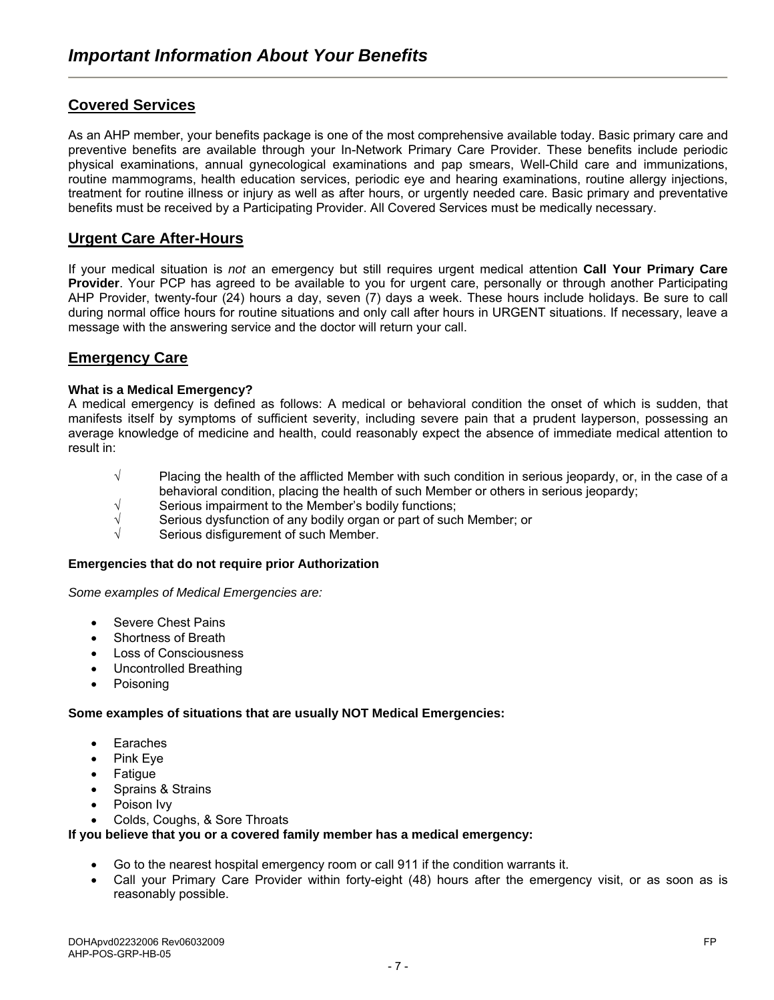# **Covered Services**

As an AHP member, your benefits package is one of the most comprehensive available today. Basic primary care and preventive benefits are available through your In-Network Primary Care Provider. These benefits include periodic physical examinations, annual gynecological examinations and pap smears, Well-Child care and immunizations, routine mammograms, health education services, periodic eye and hearing examinations, routine allergy injections, treatment for routine illness or injury as well as after hours, or urgently needed care. Basic primary and preventative benefits must be received by a Participating Provider. All Covered Services must be medically necessary.

# **Urgent Care After-Hours**

If your medical situation is *not* an emergency but still requires urgent medical attention **Call Your Primary Care Provider**. Your PCP has agreed to be available to you for urgent care, personally or through another Participating AHP Provider, twenty-four (24) hours a day, seven (7) days a week. These hours include holidays. Be sure to call during normal office hours for routine situations and only call after hours in URGENT situations. If necessary, leave a message with the answering service and the doctor will return your call.

# **Emergency Care**

#### **What is a Medical Emergency?**

A medical emergency is defined as follows: A medical or behavioral condition the onset of which is sudden, that manifests itself by symptoms of sufficient severity, including severe pain that a prudent layperson, possessing an average knowledge of medicine and health, could reasonably expect the absence of immediate medical attention to result in:

- √ Placing the health of the afflicted Member with such condition in serious jeopardy, or, in the case of a behavioral condition, placing the health of such Member or others in serious jeopardy;
- $\sqrt{\phantom{a}}$  Serious impairment to the Member's bodily functions;
- $\sqrt{ }$  Serious dysfunction of any bodily organ or part of such Member; or
- Serious disfigurement of such Member.

#### **Emergencies that do not require prior Authorization**

*Some examples of Medical Emergencies are:* 

- Severe Chest Pains
- Shortness of Breath
- **Loss of Consciousness**
- Uncontrolled Breathing
- Poisoning

#### **Some examples of situations that are usually NOT Medical Emergencies:**

- **Earaches**
- Pink Eye
- **Fatigue**
- Sprains & Strains
- Poison Ivv
- Colds, Coughs, & Sore Throats

#### **If you believe that you or a covered family member has a medical emergency:**

- Go to the nearest hospital emergency room or call 911 if the condition warrants it.
- Call your Primary Care Provider within forty-eight (48) hours after the emergency visit, or as soon as is reasonably possible.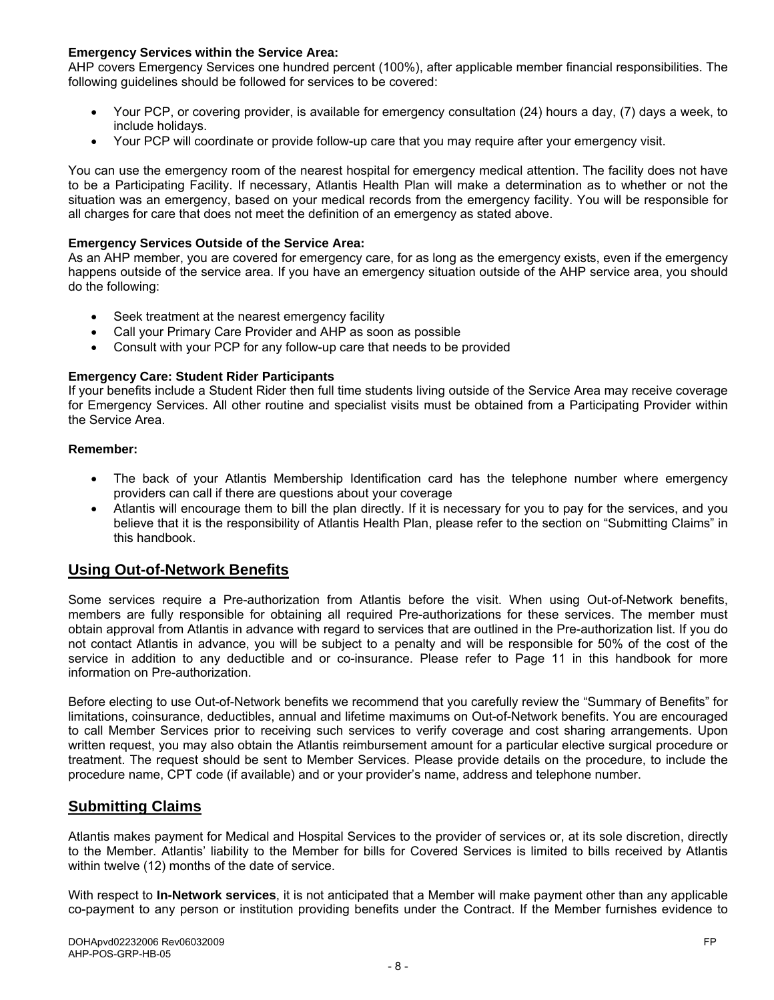#### **Emergency Services within the Service Area:**

AHP covers Emergency Services one hundred percent (100%), after applicable member financial responsibilities. The following guidelines should be followed for services to be covered:

- Your PCP, or covering provider, is available for emergency consultation (24) hours a day, (7) days a week, to include holidays.
- Your PCP will coordinate or provide follow-up care that you may require after your emergency visit.

You can use the emergency room of the nearest hospital for emergency medical attention. The facility does not have to be a Participating Facility. If necessary, Atlantis Health Plan will make a determination as to whether or not the situation was an emergency, based on your medical records from the emergency facility. You will be responsible for all charges for care that does not meet the definition of an emergency as stated above.

#### **Emergency Services Outside of the Service Area:**

As an AHP member, you are covered for emergency care, for as long as the emergency exists, even if the emergency happens outside of the service area. If you have an emergency situation outside of the AHP service area, you should do the following:

- Seek treatment at the nearest emergency facility
- Call your Primary Care Provider and AHP as soon as possible
- Consult with your PCP for any follow-up care that needs to be provided

#### **Emergency Care: Student Rider Participants**

If your benefits include a Student Rider then full time students living outside of the Service Area may receive coverage for Emergency Services. All other routine and specialist visits must be obtained from a Participating Provider within the Service Area.

#### **Remember:**

- The back of your Atlantis Membership Identification card has the telephone number where emergency providers can call if there are questions about your coverage
- Atlantis will encourage them to bill the plan directly. If it is necessary for you to pay for the services, and you believe that it is the responsibility of Atlantis Health Plan, please refer to the section on "Submitting Claims" in this handbook.

## **Using Out-of-Network Benefits**

Some services require a Pre-authorization from Atlantis before the visit. When using Out-of-Network benefits, members are fully responsible for obtaining all required Pre-authorizations for these services. The member must obtain approval from Atlantis in advance with regard to services that are outlined in the Pre-authorization list. If you do not contact Atlantis in advance, you will be subject to a penalty and will be responsible for 50% of the cost of the service in addition to any deductible and or co-insurance. Please refer to Page 11 in this handbook for more information on Pre-authorization.

Before electing to use Out-of-Network benefits we recommend that you carefully review the "Summary of Benefits" for limitations, coinsurance, deductibles, annual and lifetime maximums on Out-of-Network benefits. You are encouraged to call Member Services prior to receiving such services to verify coverage and cost sharing arrangements. Upon written request, you may also obtain the Atlantis reimbursement amount for a particular elective surgical procedure or treatment. The request should be sent to Member Services. Please provide details on the procedure, to include the procedure name, CPT code (if available) and or your provider's name, address and telephone number.

## **Submitting Claims**

Atlantis makes payment for Medical and Hospital Services to the provider of services or, at its sole discretion, directly to the Member. Atlantis' liability to the Member for bills for Covered Services is limited to bills received by Atlantis within twelve (12) months of the date of service.

With respect to **In-Network services**, it is not anticipated that a Member will make payment other than any applicable co-payment to any person or institution providing benefits under the Contract. If the Member furnishes evidence to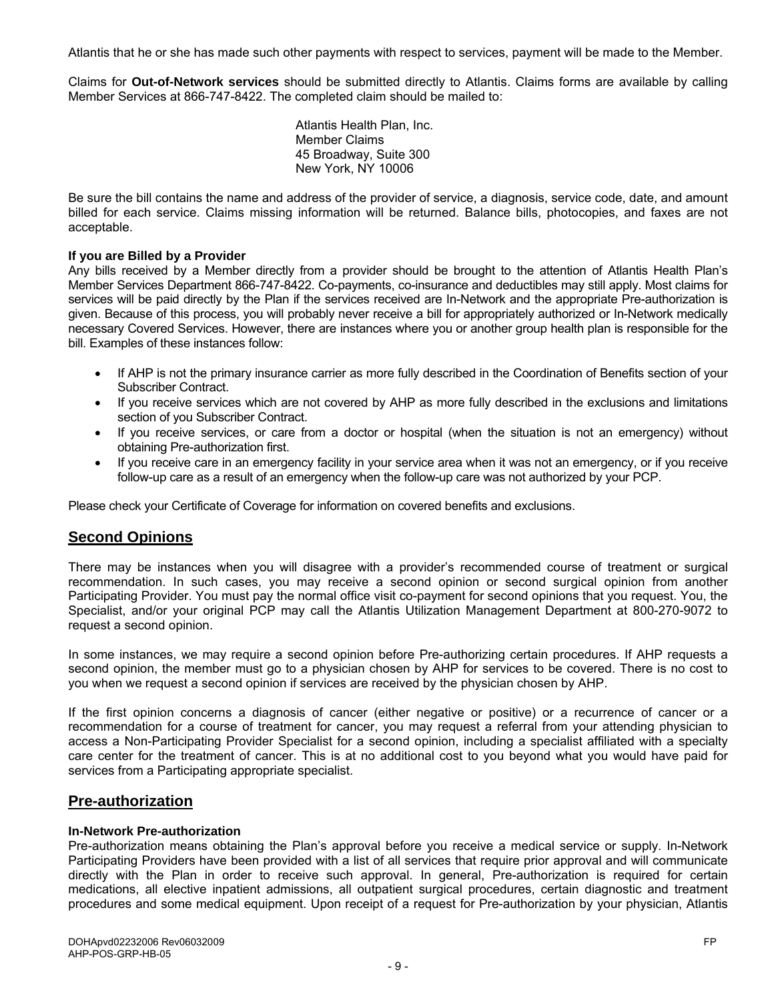Atlantis that he or she has made such other payments with respect to services, payment will be made to the Member.

Claims for **Out-of-Network services** should be submitted directly to Atlantis. Claims forms are available by calling Member Services at 866-747-8422. The completed claim should be mailed to:

> Atlantis Health Plan, Inc. Member Claims 45 Broadway, Suite 300 New York, NY 10006

Be sure the bill contains the name and address of the provider of service, a diagnosis, service code, date, and amount billed for each service. Claims missing information will be returned. Balance bills, photocopies, and faxes are not acceptable.

#### **If you are Billed by a Provider**

Any bills received by a Member directly from a provider should be brought to the attention of Atlantis Health Plan's Member Services Department 866-747-8422. Co-payments, co-insurance and deductibles may still apply. Most claims for services will be paid directly by the Plan if the services received are In-Network and the appropriate Pre-authorization is given. Because of this process, you will probably never receive a bill for appropriately authorized or In-Network medically necessary Covered Services. However, there are instances where you or another group health plan is responsible for the bill. Examples of these instances follow:

- If AHP is not the primary insurance carrier as more fully described in the Coordination of Benefits section of your Subscriber Contract.
- If you receive services which are not covered by AHP as more fully described in the exclusions and limitations section of you Subscriber Contract.
- If you receive services, or care from a doctor or hospital (when the situation is not an emergency) without obtaining Pre-authorization first.
- If you receive care in an emergency facility in your service area when it was not an emergency, or if you receive follow-up care as a result of an emergency when the follow-up care was not authorized by your PCP.

Please check your Certificate of Coverage for information on covered benefits and exclusions.

## **Second Opinions**

There may be instances when you will disagree with a provider's recommended course of treatment or surgical recommendation. In such cases, you may receive a second opinion or second surgical opinion from another Participating Provider. You must pay the normal office visit co-payment for second opinions that you request. You, the Specialist, and/or your original PCP may call the Atlantis Utilization Management Department at 800-270-9072 to request a second opinion.

In some instances, we may require a second opinion before Pre-authorizing certain procedures. If AHP requests a second opinion, the member must go to a physician chosen by AHP for services to be covered. There is no cost to you when we request a second opinion if services are received by the physician chosen by AHP.

If the first opinion concerns a diagnosis of cancer (either negative or positive) or a recurrence of cancer or a recommendation for a course of treatment for cancer, you may request a referral from your attending physician to access a Non-Participating Provider Specialist for a second opinion, including a specialist affiliated with a specialty care center for the treatment of cancer. This is at no additional cost to you beyond what you would have paid for services from a Participating appropriate specialist.

#### **Pre-authorization**

#### **In-Network Pre-authorization**

Pre-authorization means obtaining the Plan's approval before you receive a medical service or supply. In-Network Participating Providers have been provided with a list of all services that require prior approval and will communicate directly with the Plan in order to receive such approval. In general, Pre-authorization is required for certain medications, all elective inpatient admissions, all outpatient surgical procedures, certain diagnostic and treatment procedures and some medical equipment. Upon receipt of a request for Pre-authorization by your physician, Atlantis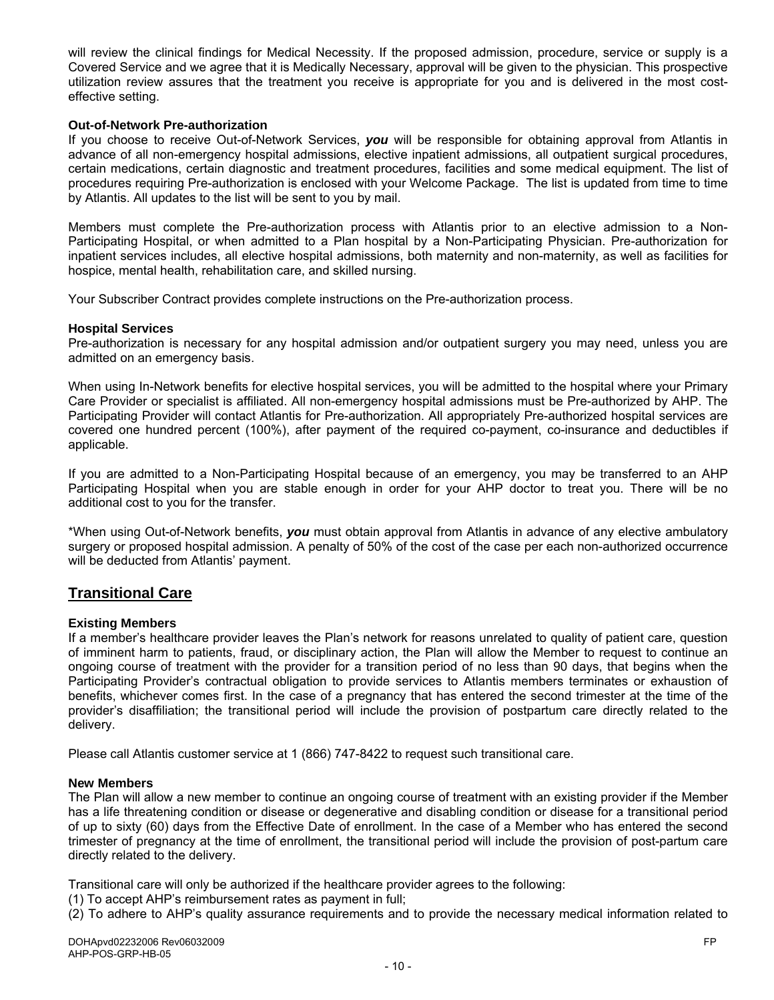will review the clinical findings for Medical Necessity. If the proposed admission, procedure, service or supply is a Covered Service and we agree that it is Medically Necessary, approval will be given to the physician. This prospective utilization review assures that the treatment you receive is appropriate for you and is delivered in the most costeffective setting.

#### **Out-of-Network Pre-authorization**

If you choose to receive Out-of-Network Services, *you* will be responsible for obtaining approval from Atlantis in advance of all non-emergency hospital admissions, elective inpatient admissions, all outpatient surgical procedures, certain medications, certain diagnostic and treatment procedures, facilities and some medical equipment. The list of procedures requiring Pre-authorization is enclosed with your Welcome Package. The list is updated from time to time by Atlantis. All updates to the list will be sent to you by mail.

Members must complete the Pre-authorization process with Atlantis prior to an elective admission to a Non-Participating Hospital, or when admitted to a Plan hospital by a Non-Participating Physician. Pre-authorization for inpatient services includes, all elective hospital admissions, both maternity and non-maternity, as well as facilities for hospice, mental health, rehabilitation care, and skilled nursing.

Your Subscriber Contract provides complete instructions on the Pre-authorization process.

#### **Hospital Services**

Pre-authorization is necessary for any hospital admission and/or outpatient surgery you may need, unless you are admitted on an emergency basis.

When using In-Network benefits for elective hospital services, you will be admitted to the hospital where your Primary Care Provider or specialist is affiliated. All non-emergency hospital admissions must be Pre-authorized by AHP. The Participating Provider will contact Atlantis for Pre-authorization. All appropriately Pre-authorized hospital services are covered one hundred percent (100%), after payment of the required co-payment, co-insurance and deductibles if applicable.

If you are admitted to a Non-Participating Hospital because of an emergency, you may be transferred to an AHP Participating Hospital when you are stable enough in order for your AHP doctor to treat you. There will be no additional cost to you for the transfer.

\*When using Out-of-Network benefits, *you* must obtain approval from Atlantis in advance of any elective ambulatory surgery or proposed hospital admission. A penalty of 50% of the cost of the case per each non-authorized occurrence will be deducted from Atlantis' payment.

## **Transitional Care**

#### **Existing Members**

If a member's healthcare provider leaves the Plan's network for reasons unrelated to quality of patient care, question of imminent harm to patients, fraud, or disciplinary action, the Plan will allow the Member to request to continue an ongoing course of treatment with the provider for a transition period of no less than 90 days, that begins when the Participating Provider's contractual obligation to provide services to Atlantis members terminates or exhaustion of benefits, whichever comes first. In the case of a pregnancy that has entered the second trimester at the time of the provider's disaffiliation; the transitional period will include the provision of postpartum care directly related to the delivery.

Please call Atlantis customer service at 1 (866) 747-8422 to request such transitional care.

#### **New Members**

The Plan will allow a new member to continue an ongoing course of treatment with an existing provider if the Member has a life threatening condition or disease or degenerative and disabling condition or disease for a transitional period of up to sixty (60) days from the Effective Date of enrollment. In the case of a Member who has entered the second trimester of pregnancy at the time of enrollment, the transitional period will include the provision of post-partum care directly related to the delivery.

Transitional care will only be authorized if the healthcare provider agrees to the following:

(1) To accept AHP's reimbursement rates as payment in full;

(2) To adhere to AHP's quality assurance requirements and to provide the necessary medical information related to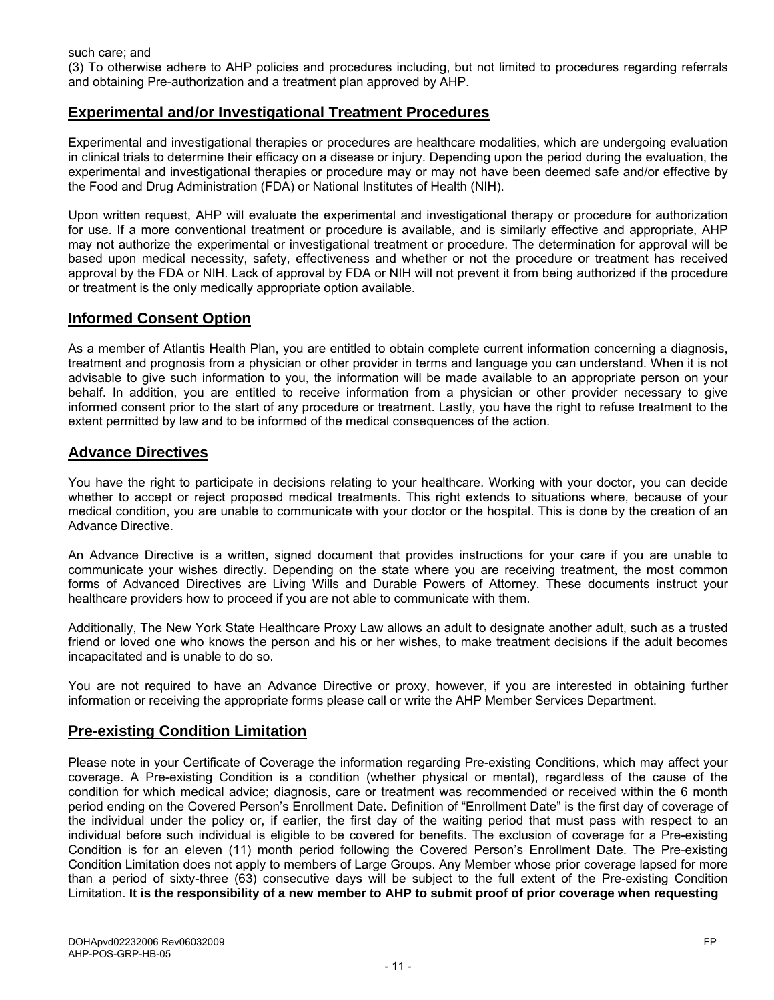(3) To otherwise adhere to AHP policies and procedures including, but not limited to procedures regarding referrals and obtaining Pre-authorization and a treatment plan approved by AHP.

# **Experimental and/or Investigational Treatment Procedures**

Experimental and investigational therapies or procedures are healthcare modalities, which are undergoing evaluation in clinical trials to determine their efficacy on a disease or injury. Depending upon the period during the evaluation, the experimental and investigational therapies or procedure may or may not have been deemed safe and/or effective by the Food and Drug Administration (FDA) or National Institutes of Health (NIH).

Upon written request, AHP will evaluate the experimental and investigational therapy or procedure for authorization for use. If a more conventional treatment or procedure is available, and is similarly effective and appropriate, AHP may not authorize the experimental or investigational treatment or procedure. The determination for approval will be based upon medical necessity, safety, effectiveness and whether or not the procedure or treatment has received approval by the FDA or NIH. Lack of approval by FDA or NIH will not prevent it from being authorized if the procedure or treatment is the only medically appropriate option available.

## **Informed Consent Option**

As a member of Atlantis Health Plan, you are entitled to obtain complete current information concerning a diagnosis, treatment and prognosis from a physician or other provider in terms and language you can understand. When it is not advisable to give such information to you, the information will be made available to an appropriate person on your behalf. In addition, you are entitled to receive information from a physician or other provider necessary to give informed consent prior to the start of any procedure or treatment. Lastly, you have the right to refuse treatment to the extent permitted by law and to be informed of the medical consequences of the action.

## **Advance Directives**

You have the right to participate in decisions relating to your healthcare. Working with your doctor, you can decide whether to accept or reject proposed medical treatments. This right extends to situations where, because of your medical condition, you are unable to communicate with your doctor or the hospital. This is done by the creation of an Advance Directive.

An Advance Directive is a written, signed document that provides instructions for your care if you are unable to communicate your wishes directly. Depending on the state where you are receiving treatment, the most common forms of Advanced Directives are Living Wills and Durable Powers of Attorney. These documents instruct your healthcare providers how to proceed if you are not able to communicate with them.

Additionally, The New York State Healthcare Proxy Law allows an adult to designate another adult, such as a trusted friend or loved one who knows the person and his or her wishes, to make treatment decisions if the adult becomes incapacitated and is unable to do so.

You are not required to have an Advance Directive or proxy, however, if you are interested in obtaining further information or receiving the appropriate forms please call or write the AHP Member Services Department.

## **Pre-existing Condition Limitation**

Please note in your Certificate of Coverage the information regarding Pre-existing Conditions, which may affect your coverage. A Pre-existing Condition is a condition (whether physical or mental), regardless of the cause of the condition for which medical advice; diagnosis, care or treatment was recommended or received within the 6 month period ending on the Covered Person's Enrollment Date. Definition of "Enrollment Date" is the first day of coverage of the individual under the policy or, if earlier, the first day of the waiting period that must pass with respect to an individual before such individual is eligible to be covered for benefits. The exclusion of coverage for a Pre-existing Condition is for an eleven (11) month period following the Covered Person's Enrollment Date. The Pre-existing Condition Limitation does not apply to members of Large Groups. Any Member whose prior coverage lapsed for more than a period of sixty-three (63) consecutive days will be subject to the full extent of the Pre-existing Condition Limitation. **It is the responsibility of a new member to AHP to submit proof of prior coverage when requesting**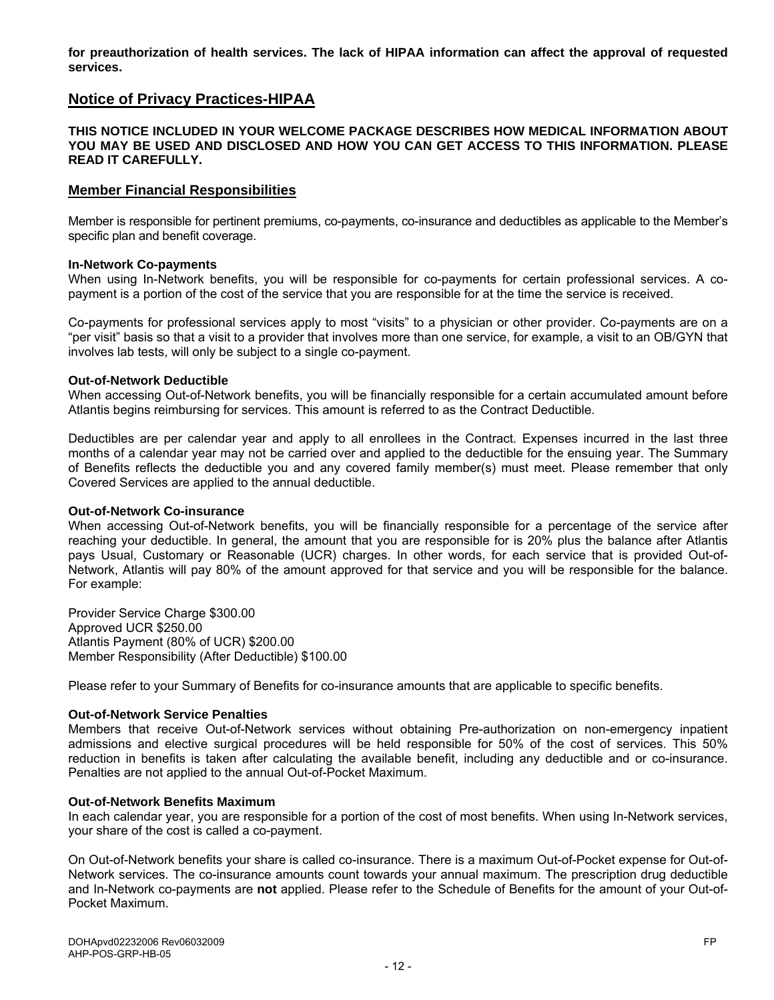**for preauthorization of health services. The lack of HIPAA information can affect the approval of requested services.** 

# **Notice of Privacy Practices-HIPAA**

#### **THIS NOTICE INCLUDED IN YOUR WELCOME PACKAGE DESCRIBES HOW MEDICAL INFORMATION ABOUT YOU MAY BE USED AND DISCLOSED AND HOW YOU CAN GET ACCESS TO THIS INFORMATION. PLEASE READ IT CAREFULLY.**

#### **Member Financial Responsibilities**

Member is responsible for pertinent premiums, co-payments, co-insurance and deductibles as applicable to the Member's specific plan and benefit coverage.

#### **In-Network Co-payments**

When using In-Network benefits, you will be responsible for co-payments for certain professional services. A copayment is a portion of the cost of the service that you are responsible for at the time the service is received.

Co-payments for professional services apply to most "visits" to a physician or other provider. Co-payments are on a "per visit" basis so that a visit to a provider that involves more than one service, for example, a visit to an OB/GYN that involves lab tests, will only be subject to a single co-payment.

#### **Out-of-Network Deductible**

When accessing Out-of-Network benefits, you will be financially responsible for a certain accumulated amount before Atlantis begins reimbursing for services. This amount is referred to as the Contract Deductible.

Deductibles are per calendar year and apply to all enrollees in the Contract. Expenses incurred in the last three months of a calendar year may not be carried over and applied to the deductible for the ensuing year. The Summary of Benefits reflects the deductible you and any covered family member(s) must meet. Please remember that only Covered Services are applied to the annual deductible.

#### **Out-of-Network Co-insurance**

When accessing Out-of-Network benefits, you will be financially responsible for a percentage of the service after reaching your deductible. In general, the amount that you are responsible for is 20% plus the balance after Atlantis pays Usual, Customary or Reasonable (UCR) charges. In other words, for each service that is provided Out-of-Network, Atlantis will pay 80% of the amount approved for that service and you will be responsible for the balance. For example:

Provider Service Charge \$300.00 Approved UCR \$250.00 Atlantis Payment (80% of UCR) \$200.00 Member Responsibility (After Deductible) \$100.00

Please refer to your Summary of Benefits for co-insurance amounts that are applicable to specific benefits.

#### **Out-of-Network Service Penalties**

Members that receive Out-of-Network services without obtaining Pre-authorization on non-emergency inpatient admissions and elective surgical procedures will be held responsible for 50% of the cost of services. This 50% reduction in benefits is taken after calculating the available benefit, including any deductible and or co-insurance. Penalties are not applied to the annual Out-of-Pocket Maximum.

#### **Out-of-Network Benefits Maximum**

In each calendar year, you are responsible for a portion of the cost of most benefits. When using In-Network services, your share of the cost is called a co-payment.

On Out-of-Network benefits your share is called co-insurance. There is a maximum Out-of-Pocket expense for Out-of-Network services. The co-insurance amounts count towards your annual maximum. The prescription drug deductible and In-Network co-payments are **not** applied. Please refer to the Schedule of Benefits for the amount of your Out-of-Pocket Maximum.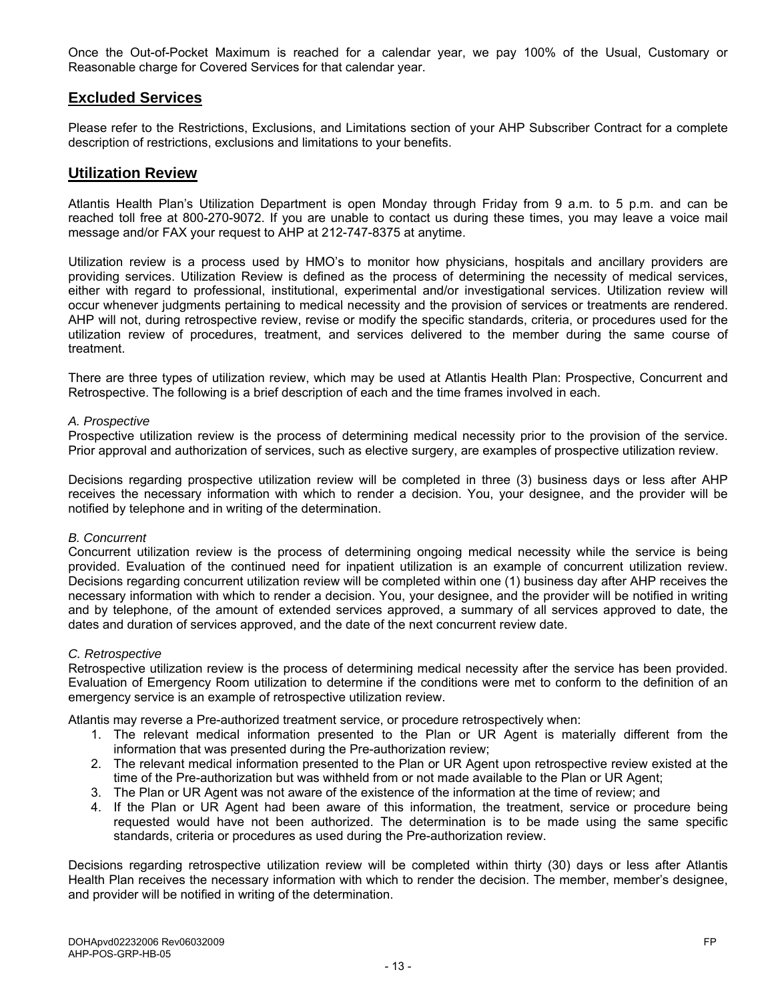Once the Out-of-Pocket Maximum is reached for a calendar year, we pay 100% of the Usual, Customary or Reasonable charge for Covered Services for that calendar year.

# **Excluded Services**

Please refer to the Restrictions, Exclusions, and Limitations section of your AHP Subscriber Contract for a complete description of restrictions, exclusions and limitations to your benefits.

### **Utilization Review**

Atlantis Health Plan's Utilization Department is open Monday through Friday from 9 a.m. to 5 p.m. and can be reached toll free at 800-270-9072. If you are unable to contact us during these times, you may leave a voice mail message and/or FAX your request to AHP at 212-747-8375 at anytime.

Utilization review is a process used by HMO's to monitor how physicians, hospitals and ancillary providers are providing services. Utilization Review is defined as the process of determining the necessity of medical services, either with regard to professional, institutional, experimental and/or investigational services. Utilization review will occur whenever judgments pertaining to medical necessity and the provision of services or treatments are rendered. AHP will not, during retrospective review, revise or modify the specific standards, criteria, or procedures used for the utilization review of procedures, treatment, and services delivered to the member during the same course of treatment.

There are three types of utilization review, which may be used at Atlantis Health Plan: Prospective, Concurrent and Retrospective. The following is a brief description of each and the time frames involved in each.

#### *A. Prospective*

Prospective utilization review is the process of determining medical necessity prior to the provision of the service. Prior approval and authorization of services, such as elective surgery, are examples of prospective utilization review.

Decisions regarding prospective utilization review will be completed in three (3) business days or less after AHP receives the necessary information with which to render a decision. You, your designee, and the provider will be notified by telephone and in writing of the determination.

#### *B. Concurrent*

Concurrent utilization review is the process of determining ongoing medical necessity while the service is being provided. Evaluation of the continued need for inpatient utilization is an example of concurrent utilization review. Decisions regarding concurrent utilization review will be completed within one (1) business day after AHP receives the necessary information with which to render a decision. You, your designee, and the provider will be notified in writing and by telephone, of the amount of extended services approved, a summary of all services approved to date, the dates and duration of services approved, and the date of the next concurrent review date.

#### *C. Retrospective*

Retrospective utilization review is the process of determining medical necessity after the service has been provided. Evaluation of Emergency Room utilization to determine if the conditions were met to conform to the definition of an emergency service is an example of retrospective utilization review.

Atlantis may reverse a Pre-authorized treatment service, or procedure retrospectively when:

- 1. The relevant medical information presented to the Plan or UR Agent is materially different from the information that was presented during the Pre-authorization review;
- 2. The relevant medical information presented to the Plan or UR Agent upon retrospective review existed at the time of the Pre-authorization but was withheld from or not made available to the Plan or UR Agent;
- 3. The Plan or UR Agent was not aware of the existence of the information at the time of review; and
- 4. If the Plan or UR Agent had been aware of this information, the treatment, service or procedure being requested would have not been authorized. The determination is to be made using the same specific standards, criteria or procedures as used during the Pre-authorization review.

Decisions regarding retrospective utilization review will be completed within thirty (30) days or less after Atlantis Health Plan receives the necessary information with which to render the decision. The member, member's designee, and provider will be notified in writing of the determination.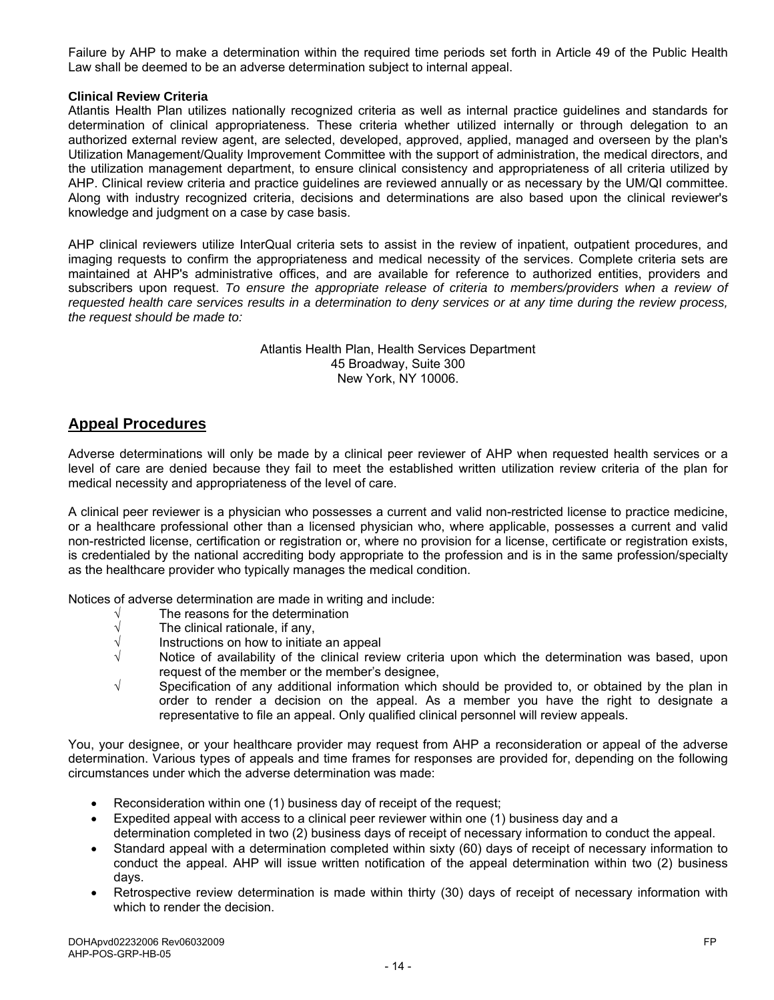Failure by AHP to make a determination within the required time periods set forth in Article 49 of the Public Health Law shall be deemed to be an adverse determination subject to internal appeal.

#### **Clinical Review Criteria**

Atlantis Health Plan utilizes nationally recognized criteria as well as internal practice guidelines and standards for determination of clinical appropriateness. These criteria whether utilized internally or through delegation to an authorized external review agent, are selected, developed, approved, applied, managed and overseen by the plan's Utilization Management/Quality Improvement Committee with the support of administration, the medical directors, and the utilization management department, to ensure clinical consistency and appropriateness of all criteria utilized by AHP. Clinical review criteria and practice guidelines are reviewed annually or as necessary by the UM/QI committee. Along with industry recognized criteria, decisions and determinations are also based upon the clinical reviewer's knowledge and judgment on a case by case basis.

AHP clinical reviewers utilize InterQual criteria sets to assist in the review of inpatient, outpatient procedures, and imaging requests to confirm the appropriateness and medical necessity of the services. Complete criteria sets are maintained at AHP's administrative offices, and are available for reference to authorized entities, providers and subscribers upon request. *To ensure the appropriate release of criteria to members/providers when a review of requested health care services results in a determination to deny services or at any time during the review process, the request should be made to:* 

> Atlantis Health Plan, Health Services Department 45 Broadway, Suite 300 New York, NY 10006.

## **Appeal Procedures**

Adverse determinations will only be made by a clinical peer reviewer of AHP when requested health services or a level of care are denied because they fail to meet the established written utilization review criteria of the plan for medical necessity and appropriateness of the level of care.

A clinical peer reviewer is a physician who possesses a current and valid non-restricted license to practice medicine, or a healthcare professional other than a licensed physician who, where applicable, possesses a current and valid non-restricted license, certification or registration or, where no provision for a license, certificate or registration exists, is credentialed by the national accrediting body appropriate to the profession and is in the same profession/specialty as the healthcare provider who typically manages the medical condition.

Notices of adverse determination are made in writing and include:

- $\sqrt{\phantom{a}}$  The reasons for the determination  $\sqrt{\phantom{a}}$  The clinical rationale, if any,
- $\sqrt{\frac{1}{\sqrt{\frac{1}{\sqrt{\frac{1}{\sqrt{\frac{1}{\sqrt{\frac{1}{\sqrt{\frac{1}{\sqrt{\frac{1}{\sqrt{\frac{1}{\sqrt{\frac{1}{\sqrt{\frac{1}{\sqrt{\frac{1}{\sqrt{\frac{1}{\sqrt{\frac{1}{\sqrt{\frac{1}{\sqrt{\frac{1}{\sqrt{\frac{1}{\sqrt{\frac{1}{\sqrt{\frac{1}{\sqrt{\frac{1}{\sqrt{\frac{1}{\sqrt{\frac{1}{\sqrt{\frac{1}{\sqrt{\sqrt{\frac{1}{\sqrt{\sqrt{\frac{1}{\sqrt{\sqrt \frac{1}{\sqrt{\sqrt \frac{1}{\sqrt \sqrt{\sqrt \frac{1}{\sqrt \sqrt \frac{1}{\sqrt \sqrt \frac{1}{\$
- Instructions on how to initiate an appeal
- $\sqrt{ }$  Notice of availability of the clinical review criteria upon which the determination was based, upon request of the member or the member's designee,
- √ Specification of any additional information which should be provided to, or obtained by the plan in order to render a decision on the appeal. As a member you have the right to designate a representative to file an appeal. Only qualified clinical personnel will review appeals.

You, your designee, or your healthcare provider may request from AHP a reconsideration or appeal of the adverse determination. Various types of appeals and time frames for responses are provided for, depending on the following circumstances under which the adverse determination was made:

- Reconsideration within one (1) business day of receipt of the request;
- Expedited appeal with access to a clinical peer reviewer within one (1) business day and a determination completed in two (2) business days of receipt of necessary information to conduct the appeal.
- Standard appeal with a determination completed within sixty (60) days of receipt of necessary information to conduct the appeal. AHP will issue written notification of the appeal determination within two (2) business days.
- Retrospective review determination is made within thirty (30) days of receipt of necessary information with which to render the decision.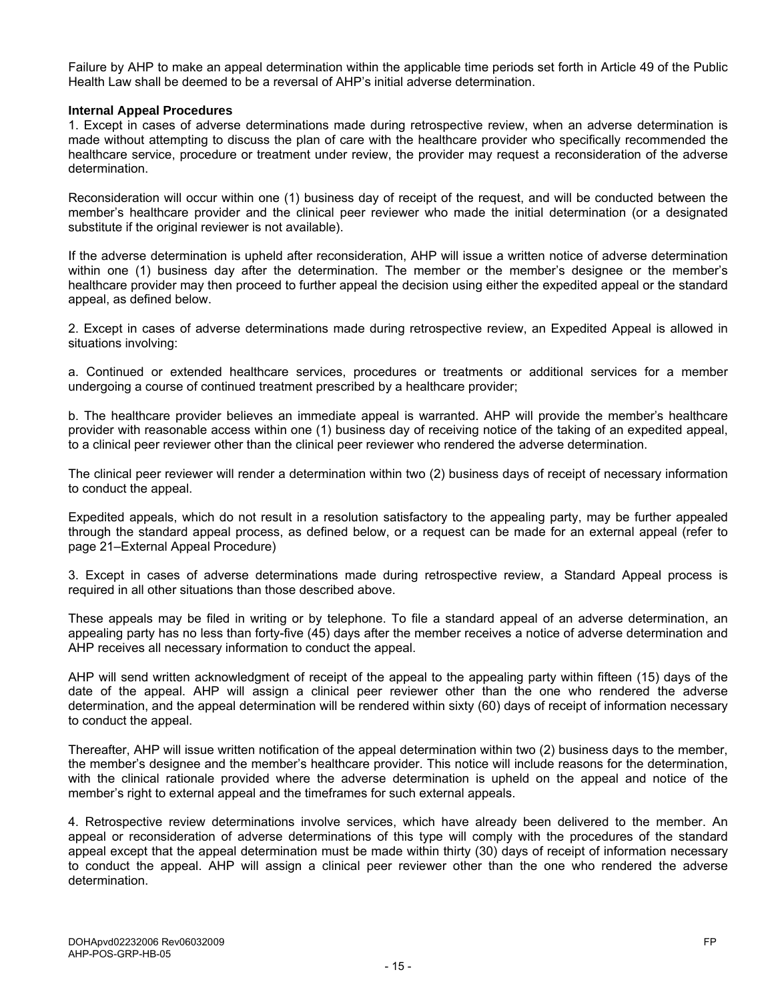Failure by AHP to make an appeal determination within the applicable time periods set forth in Article 49 of the Public Health Law shall be deemed to be a reversal of AHP's initial adverse determination.

#### **Internal Appeal Procedures**

1. Except in cases of adverse determinations made during retrospective review, when an adverse determination is made without attempting to discuss the plan of care with the healthcare provider who specifically recommended the healthcare service, procedure or treatment under review, the provider may request a reconsideration of the adverse determination.

Reconsideration will occur within one (1) business day of receipt of the request, and will be conducted between the member's healthcare provider and the clinical peer reviewer who made the initial determination (or a designated substitute if the original reviewer is not available).

If the adverse determination is upheld after reconsideration, AHP will issue a written notice of adverse determination within one (1) business day after the determination. The member or the member's designee or the member's healthcare provider may then proceed to further appeal the decision using either the expedited appeal or the standard appeal, as defined below.

2. Except in cases of adverse determinations made during retrospective review, an Expedited Appeal is allowed in situations involving:

a. Continued or extended healthcare services, procedures or treatments or additional services for a member undergoing a course of continued treatment prescribed by a healthcare provider;

b. The healthcare provider believes an immediate appeal is warranted. AHP will provide the member's healthcare provider with reasonable access within one (1) business day of receiving notice of the taking of an expedited appeal, to a clinical peer reviewer other than the clinical peer reviewer who rendered the adverse determination.

The clinical peer reviewer will render a determination within two (2) business days of receipt of necessary information to conduct the appeal.

Expedited appeals, which do not result in a resolution satisfactory to the appealing party, may be further appealed through the standard appeal process, as defined below, or a request can be made for an external appeal (refer to page 21–External Appeal Procedure)

3. Except in cases of adverse determinations made during retrospective review, a Standard Appeal process is required in all other situations than those described above.

These appeals may be filed in writing or by telephone. To file a standard appeal of an adverse determination, an appealing party has no less than forty-five (45) days after the member receives a notice of adverse determination and AHP receives all necessary information to conduct the appeal.

AHP will send written acknowledgment of receipt of the appeal to the appealing party within fifteen (15) days of the date of the appeal. AHP will assign a clinical peer reviewer other than the one who rendered the adverse determination, and the appeal determination will be rendered within sixty (60) days of receipt of information necessary to conduct the appeal.

Thereafter, AHP will issue written notification of the appeal determination within two (2) business days to the member, the member's designee and the member's healthcare provider. This notice will include reasons for the determination, with the clinical rationale provided where the adverse determination is upheld on the appeal and notice of the member's right to external appeal and the timeframes for such external appeals.

4. Retrospective review determinations involve services, which have already been delivered to the member. An appeal or reconsideration of adverse determinations of this type will comply with the procedures of the standard appeal except that the appeal determination must be made within thirty (30) days of receipt of information necessary to conduct the appeal. AHP will assign a clinical peer reviewer other than the one who rendered the adverse determination.

- 15 -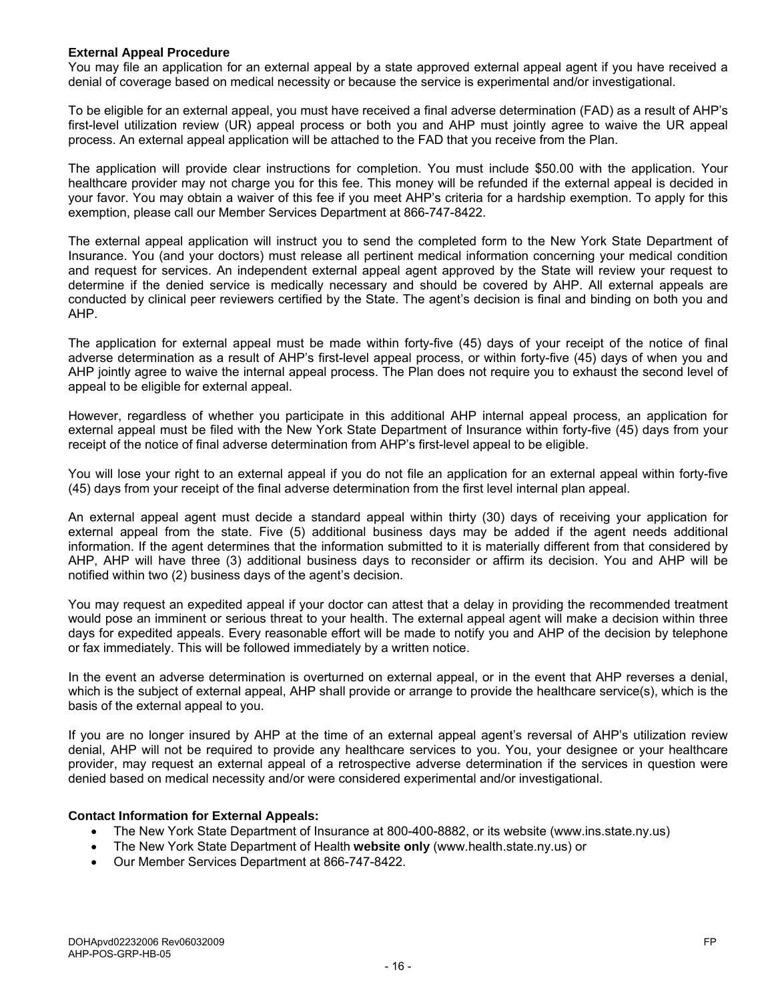#### **External Appeal Procedure**

You may file an application for an external appeal by a state approved external appeal agent if you have received a denial of coverage based on medical necessity or because the service is experimental and/or investigational.

To be eligible for an external appeal, you must have received a final adverse determination (FAD) as a result of AHP's first-level utilization review (UR) appeal process or both you and AHP must jointly agree to waive the UR appeal process. An external appeal application will be attached to the FAD that you receive from the Plan.

The application will provide clear instructions for completion. You must include \$50.00 with the application. Your healthcare provider may not charge you for this fee. This money will be refunded if the external appeal is decided in your favor. You may obtain a waiver of this fee if you meet AHP's criteria for a hardship exemption. To apply for this exemption, please call our Member Services Department at 866-747-8422.

The external appeal application will instruct you to send the completed form to the New York State Department of Insurance. You (and your doctors) must release all pertinent medical information concerning your medical condition and request for services. An independent external appeal agent approved by the State will review your request to determine if the denied service is medically necessary and should be covered by AHP. All external appeals are conducted by clinical peer reviewers certified by the State. The agent's decision is final and binding on both you and AHP.

The application for external appeal must be made within forty-five (45) days of your receipt of the notice of final adverse determination as a result of AHP's first-level appeal process, or within forty-five (45) days of when you and AHP jointly agree to waive the internal appeal process. The Plan does not require you to exhaust the second level of appeal to be eligible for external appeal.

However, regardless of whether you participate in this additional AHP internal appeal process, an application for external appeal must be filed with the New York State Department of Insurance within forty-five (45) days from your receipt of the notice of final adverse determination from AHP's first-level appeal to be eligible.

You will lose your right to an external appeal if you do not file an application for an external appeal within forty-five (45) days from your receipt of the final adverse determination from the first level internal plan appeal.

An external appeal agent must decide a standard appeal within thirty (30) days of receiving your application for external appeal from the state. Five (5) additional business days may be added if the agent needs additional information. If the agent determines that the information submitted to it is materially different from that considered by AHP, AHP will have three (3) additional business days to reconsider or affirm its decision. You and AHP will be notified within two (2) business days of the agent's decision.

You may request an expedited appeal if your doctor can attest that a delay in providing the recommended treatment would pose an imminent or serious threat to your health. The external appeal agent will make a decision within three days for expedited appeals. Every reasonable effort will be made to notify you and AHP of the decision by telephone or fax immediately. This will be followed immediately by a written notice.

In the event an adverse determination is overturned on external appeal, or in the event that AHP reverses a denial, which is the subject of external appeal, AHP shall provide or arrange to provide the healthcare service(s), which is the basis of the external appeal to you.

If you are no longer insured by AHP at the time of an external appeal agent's reversal of AHP's utilization review denial, AHP will not be required to provide any healthcare services to you. You, your designee or your healthcare provider, may request an external appeal of a retrospective adverse determination if the services in question were denied based on medical necessity and/or were considered experimental and/or investigational.

#### **Contact Information for External Appeals:**

- The New York State Department of Insurance at 800-400-8882, or its website (www.ins.state.ny.us)
- The New York State Department of Health **website only** (www.health.state.ny.us) or
- Our Member Services Department at 866-747-8422.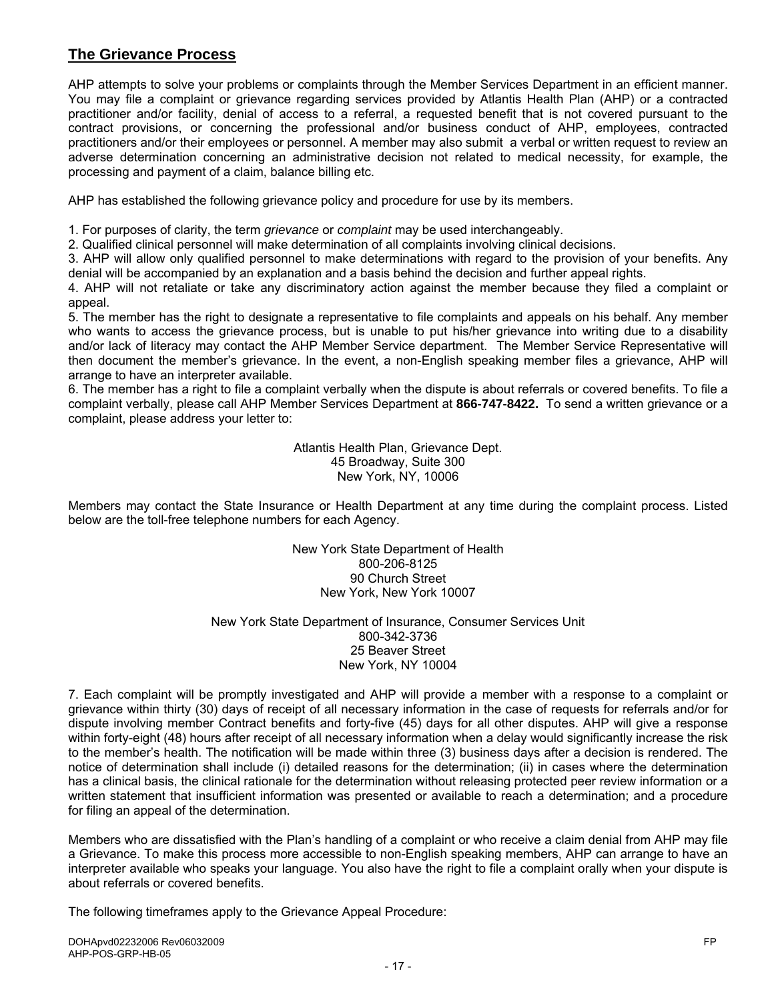# **The Grievance Process**

AHP attempts to solve your problems or complaints through the Member Services Department in an efficient manner. You may file a complaint or grievance regarding services provided by Atlantis Health Plan (AHP) or a contracted practitioner and/or facility, denial of access to a referral, a requested benefit that is not covered pursuant to the contract provisions, or concerning the professional and/or business conduct of AHP, employees, contracted practitioners and/or their employees or personnel. A member may also submit a verbal or written request to review an adverse determination concerning an administrative decision not related to medical necessity, for example, the processing and payment of a claim, balance billing etc.

AHP has established the following grievance policy and procedure for use by its members.

1. For purposes of clarity, the term *grievance* or *complaint* may be used interchangeably.

2. Qualified clinical personnel will make determination of all complaints involving clinical decisions.

3. AHP will allow only qualified personnel to make determinations with regard to the provision of your benefits. Any denial will be accompanied by an explanation and a basis behind the decision and further appeal rights.

4. AHP will not retaliate or take any discriminatory action against the member because they filed a complaint or appeal.

5. The member has the right to designate a representative to file complaints and appeals on his behalf. Any member who wants to access the grievance process, but is unable to put his/her grievance into writing due to a disability and/or lack of literacy may contact the AHP Member Service department. The Member Service Representative will then document the member's grievance. In the event, a non-English speaking member files a grievance, AHP will arrange to have an interpreter available.

6. The member has a right to file a complaint verbally when the dispute is about referrals or covered benefits. To file a complaint verbally, please call AHP Member Services Department at **866-747-8422.** To send a written grievance or a complaint, please address your letter to:

> Atlantis Health Plan, Grievance Dept. 45 Broadway, Suite 300 New York, NY, 10006

Members may contact the State Insurance or Health Department at any time during the complaint process. Listed below are the toll-free telephone numbers for each Agency.

> New York State Department of Health 800-206-8125 90 Church Street New York, New York 10007

New York State Department of Insurance, Consumer Services Unit 800-342-3736 25 Beaver Street New York, NY 10004

7. Each complaint will be promptly investigated and AHP will provide a member with a response to a complaint or grievance within thirty (30) days of receipt of all necessary information in the case of requests for referrals and/or for dispute involving member Contract benefits and forty-five (45) days for all other disputes. AHP will give a response within forty-eight (48) hours after receipt of all necessary information when a delay would significantly increase the risk to the member's health. The notification will be made within three (3) business days after a decision is rendered. The notice of determination shall include (i) detailed reasons for the determination; (ii) in cases where the determination has a clinical basis, the clinical rationale for the determination without releasing protected peer review information or a written statement that insufficient information was presented or available to reach a determination; and a procedure for filing an appeal of the determination.

Members who are dissatisfied with the Plan's handling of a complaint or who receive a claim denial from AHP may file a Grievance. To make this process more accessible to non-English speaking members, AHP can arrange to have an interpreter available who speaks your language. You also have the right to file a complaint orally when your dispute is about referrals or covered benefits.

The following timeframes apply to the Grievance Appeal Procedure: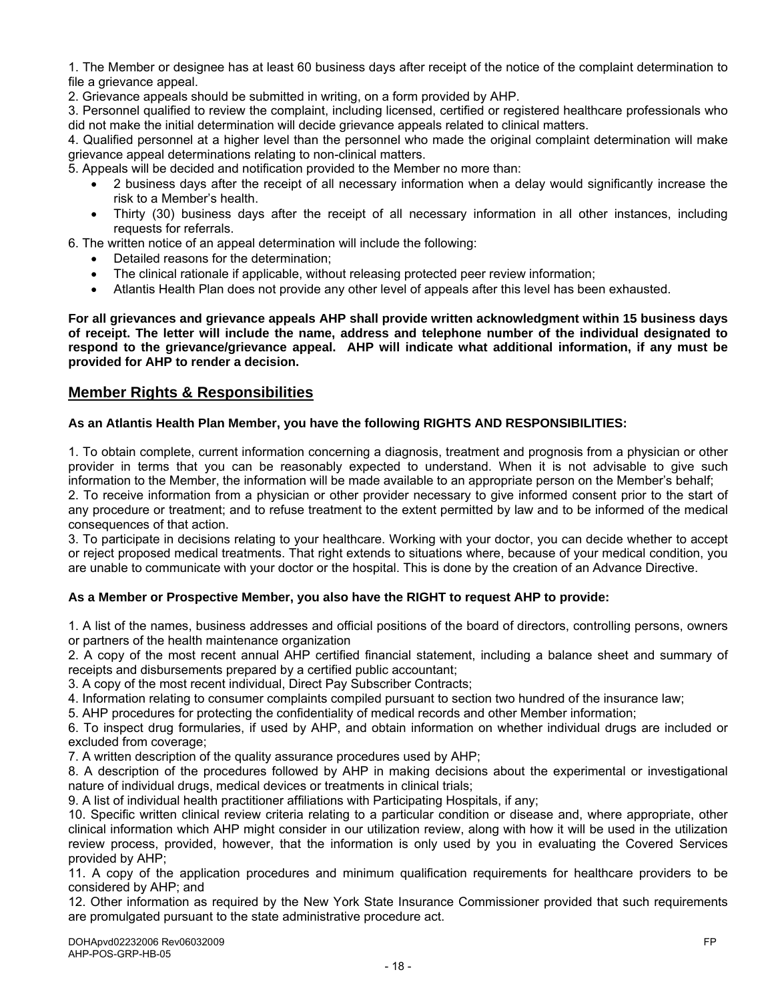1. The Member or designee has at least 60 business days after receipt of the notice of the complaint determination to file a grievance appeal.

2. Grievance appeals should be submitted in writing, on a form provided by AHP.

3. Personnel qualified to review the complaint, including licensed, certified or registered healthcare professionals who did not make the initial determination will decide grievance appeals related to clinical matters.

4. Qualified personnel at a higher level than the personnel who made the original complaint determination will make grievance appeal determinations relating to non-clinical matters.

5. Appeals will be decided and notification provided to the Member no more than:

- 2 business days after the receipt of all necessary information when a delay would significantly increase the risk to a Member's health.
- Thirty (30) business days after the receipt of all necessary information in all other instances, including requests for referrals.

6. The written notice of an appeal determination will include the following:

- Detailed reasons for the determination;
- The clinical rationale if applicable, without releasing protected peer review information;
- Atlantis Health Plan does not provide any other level of appeals after this level has been exhausted.

**For all grievances and grievance appeals AHP shall provide written acknowledgment within 15 business days of receipt. The letter will include the name, address and telephone number of the individual designated to respond to the grievance/grievance appeal. AHP will indicate what additional information, if any must be provided for AHP to render a decision.** 

## **Member Rights & Responsibilities**

#### **As an Atlantis Health Plan Member, you have the following RIGHTS AND RESPONSIBILITIES:**

1. To obtain complete, current information concerning a diagnosis, treatment and prognosis from a physician or other provider in terms that you can be reasonably expected to understand. When it is not advisable to give such information to the Member, the information will be made available to an appropriate person on the Member's behalf;

2. To receive information from a physician or other provider necessary to give informed consent prior to the start of any procedure or treatment; and to refuse treatment to the extent permitted by law and to be informed of the medical consequences of that action.

3. To participate in decisions relating to your healthcare. Working with your doctor, you can decide whether to accept or reject proposed medical treatments. That right extends to situations where, because of your medical condition, you are unable to communicate with your doctor or the hospital. This is done by the creation of an Advance Directive.

#### **As a Member or Prospective Member, you also have the RIGHT to request AHP to provide:**

1. A list of the names, business addresses and official positions of the board of directors, controlling persons, owners or partners of the health maintenance organization

2. A copy of the most recent annual AHP certified financial statement, including a balance sheet and summary of receipts and disbursements prepared by a certified public accountant;

3. A copy of the most recent individual, Direct Pay Subscriber Contracts;

4. Information relating to consumer complaints compiled pursuant to section two hundred of the insurance law;

5. AHP procedures for protecting the confidentiality of medical records and other Member information;

6. To inspect drug formularies, if used by AHP, and obtain information on whether individual drugs are included or excluded from coverage;

7. A written description of the quality assurance procedures used by AHP;

8. A description of the procedures followed by AHP in making decisions about the experimental or investigational nature of individual drugs, medical devices or treatments in clinical trials;

9. A list of individual health practitioner affiliations with Participating Hospitals, if any;

10. Specific written clinical review criteria relating to a particular condition or disease and, where appropriate, other clinical information which AHP might consider in our utilization review, along with how it will be used in the utilization review process, provided, however, that the information is only used by you in evaluating the Covered Services provided by AHP;

11. A copy of the application procedures and minimum qualification requirements for healthcare providers to be considered by AHP; and

12. Other information as required by the New York State Insurance Commissioner provided that such requirements are promulgated pursuant to the state administrative procedure act.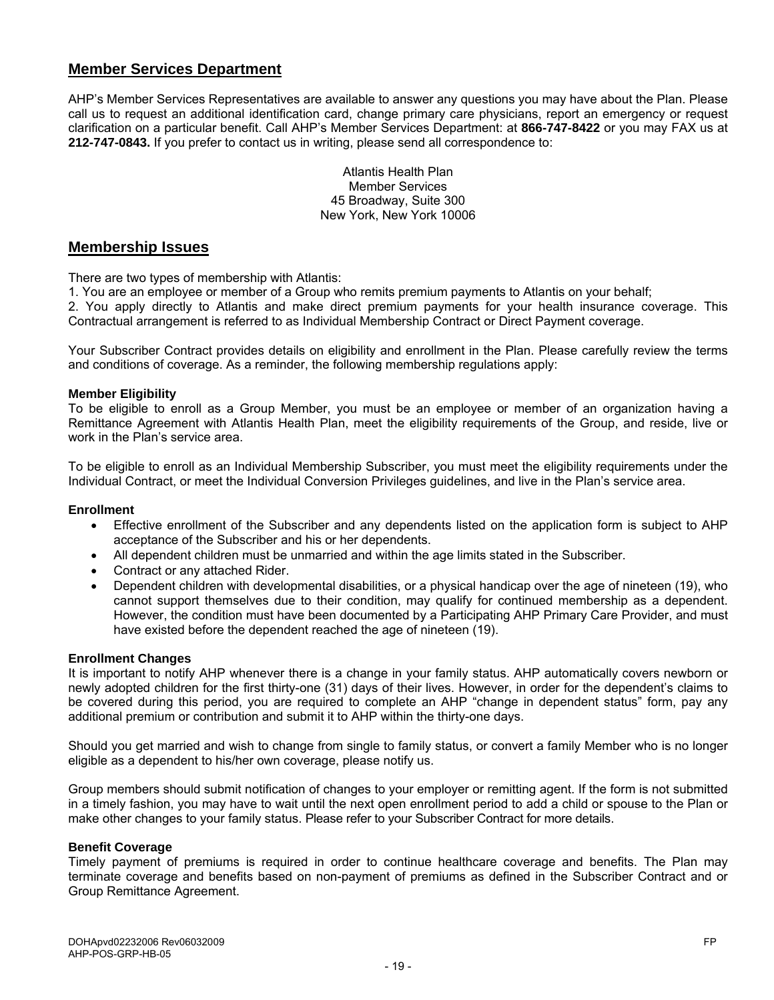# **Member Services Department**

AHP's Member Services Representatives are available to answer any questions you may have about the Plan. Please call us to request an additional identification card, change primary care physicians, report an emergency or request clarification on a particular benefit. Call AHP's Member Services Department: at **866-747-8422** or you may FAX us at **212-747-0843.** If you prefer to contact us in writing, please send all correspondence to:

> Atlantis Health Plan Member Services 45 Broadway, Suite 300 New York, New York 10006

#### **Membership Issues**

There are two types of membership with Atlantis:

1. You are an employee or member of a Group who remits premium payments to Atlantis on your behalf;

2. You apply directly to Atlantis and make direct premium payments for your health insurance coverage. This Contractual arrangement is referred to as Individual Membership Contract or Direct Payment coverage.

Your Subscriber Contract provides details on eligibility and enrollment in the Plan. Please carefully review the terms and conditions of coverage. As a reminder, the following membership regulations apply:

#### **Member Eligibility**

To be eligible to enroll as a Group Member, you must be an employee or member of an organization having a Remittance Agreement with Atlantis Health Plan, meet the eligibility requirements of the Group, and reside, live or work in the Plan's service area.

To be eligible to enroll as an Individual Membership Subscriber, you must meet the eligibility requirements under the Individual Contract, or meet the Individual Conversion Privileges guidelines, and live in the Plan's service area.

#### **Enrollment**

- Effective enrollment of the Subscriber and any dependents listed on the application form is subject to AHP acceptance of the Subscriber and his or her dependents.
- All dependent children must be unmarried and within the age limits stated in the Subscriber.
- Contract or any attached Rider.
- Dependent children with developmental disabilities, or a physical handicap over the age of nineteen (19), who cannot support themselves due to their condition, may qualify for continued membership as a dependent. However, the condition must have been documented by a Participating AHP Primary Care Provider, and must have existed before the dependent reached the age of nineteen (19).

#### **Enrollment Changes**

It is important to notify AHP whenever there is a change in your family status. AHP automatically covers newborn or newly adopted children for the first thirty-one (31) days of their lives. However, in order for the dependent's claims to be covered during this period, you are required to complete an AHP "change in dependent status" form, pay any additional premium or contribution and submit it to AHP within the thirty-one days.

Should you get married and wish to change from single to family status, or convert a family Member who is no longer eligible as a dependent to his/her own coverage, please notify us.

Group members should submit notification of changes to your employer or remitting agent. If the form is not submitted in a timely fashion, you may have to wait until the next open enrollment period to add a child or spouse to the Plan or make other changes to your family status. Please refer to your Subscriber Contract for more details.

#### **Benefit Coverage**

Timely payment of premiums is required in order to continue healthcare coverage and benefits. The Plan may terminate coverage and benefits based on non-payment of premiums as defined in the Subscriber Contract and or Group Remittance Agreement.